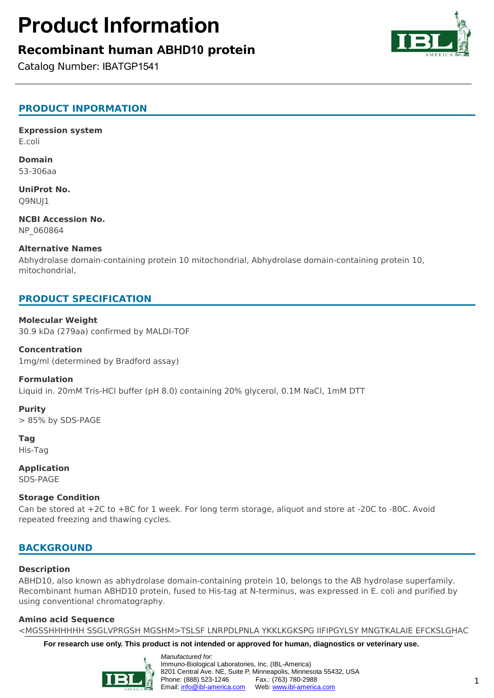# **Product Information**

# **Recombinant human ABHD10 protein**

Catalog Number: IBATGP1541



**Expression system** E.coli

**Domain** 53-306aa

**UniProt No.** Q9NUJ1

**NCBI Accession No.** NP\_060864

#### **Alternative Names**

Abhydrolase domain-containing protein 10 mitochondrial, Abhydrolase domain-containing protein 10, mitochondrial,

## **PRODUCT SPECIFICATION**

#### **Molecular Weight**

30.9 kDa (279aa) confirmed by MALDI-TOF

**Concentration** 1mg/ml (determined by Bradford assay)

#### **Formulation**

Liquid in. 20mM Tris-HCl buffer (pH 8.0) containing 20% glycerol, 0.1M NaCl, 1mM DTT

**Purity** > 85% by SDS-PAGE

**Tag** His-Tag

**Application** SDS-PAGE

#### **Storage Condition**

Can be stored at +2C to +8C for 1 week. For long term storage, aliquot and store at -20C to -80C. Avoid repeated freezing and thawing cycles.

## **BACKGROUND**

### **Description**

ABHD10, also known as abhydrolase domain-containing protein 10, belongs to the AB hydrolase superfamily. Recombinant human ABHD10 protein, fused to His-tag at N-terminus, was expressed in E. coli and purified by using conventional chromatography.

### **Amino acid Sequence**

<MGSSHHHHHH SSGLVPRGSH MGSHM>TSLSF LNRPDLPNLA YKKLKGKSPG IIFIPGYLSY MNGTKALAIE EFCKSLGHAC

**For research use only. This product is not intended or approved for human, diagnostics or veterinary use.**